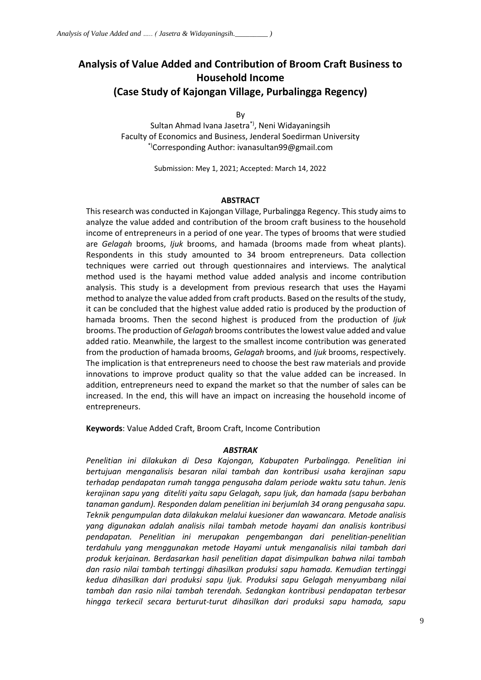# **Analysis of Value Added and Contribution of Broom Craft Business to Household Income (Case Study of Kajongan Village, Purbalingga Regency)**

By

Sultan Ahmad Ivana Jasetra\*), Neni Widayaningsih Faculty of Economics and Business, Jenderal Soedirman University \*)Corresponding Author: ivanasultan99@gmail.com

Submission: Mey 1, 2021; Accepted: March 14, 2022

### **ABSTRACT**

This research was conducted in Kajongan Village, Purbalingga Regency. This study aims to analyze the value added and contribution of the broom craft business to the household income of entrepreneurs in a period of one year. The types of brooms that were studied are *Gelagah* brooms, *Ijuk* brooms, and hamada (brooms made from wheat plants). Respondents in this study amounted to 34 broom entrepreneurs. Data collection techniques were carried out through questionnaires and interviews. The analytical method used is the hayami method value added analysis and income contribution analysis. This study is a development from previous research that uses the Hayami method to analyze the value added from craft products. Based on the results of the study, it can be concluded that the highest value added ratio is produced by the production of hamada brooms. Then the second highest is produced from the production of *Ijuk* brooms. The production of *Gelagah* brooms contributes the lowest value added and value added ratio. Meanwhile, the largest to the smallest income contribution was generated from the production of hamada brooms, *Gelagah* brooms, and *Ijuk* brooms, respectively. The implication is that entrepreneurs need to choose the best raw materials and provide innovations to improve product quality so that the value added can be increased. In addition, entrepreneurs need to expand the market so that the number of sales can be increased. In the end, this will have an impact on increasing the household income of entrepreneurs.

**Keywords**: Value Added Craft, Broom Craft, Income Contribution

#### *ABSTRAK*

*Penelitian ini dilakukan di Desa Kajongan, Kabupaten Purbalingga. Penelitian ini bertujuan menganalisis besaran nilai tambah dan kontribusi usaha kerajinan sapu terhadap pendapatan rumah tangga pengusaha dalam periode waktu satu tahun. Jenis kerajinan sapu yang diteliti yaitu sapu Gelagah, sapu Ijuk, dan hamada (sapu berbahan tanaman gandum). Responden dalam penelitian ini berjumlah 34 orang pengusaha sapu. Teknik pengumpulan data dilakukan melalui kuesioner dan wawancara. Metode analisis yang digunakan adalah analisis nilai tambah metode hayami dan analisis kontribusi pendapatan. Penelitian ini merupakan pengembangan dari penelitian-penelitian terdahulu yang menggunakan metode Hayami untuk menganalisis nilai tambah dari produk kerjainan. Berdasarkan hasil penelitian dapat disimpulkan bahwa nilai tambah dan rasio nilai tambah tertinggi dihasilkan produksi sapu hamada. Kemudian tertinggi kedua dihasilkan dari produksi sapu Ijuk. Produksi sapu Gelagah menyumbang nilai tambah dan rasio nilai tambah terendah. Sedangkan kontribusi pendapatan terbesar hingga terkecil secara berturut-turut dihasilkan dari produksi sapu hamada, sapu*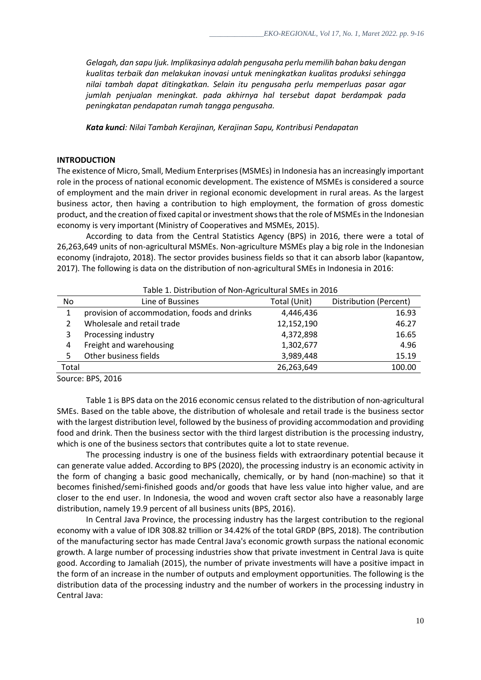*Gelagah, dan sapu Ijuk. Implikasinya adalah pengusaha perlu memilih bahan baku dengan kualitas terbaik dan melakukan inovasi untuk meningkatkan kualitas produksi sehingga nilai tambah dapat ditingkatkan. Selain itu pengusaha perlu memperluas pasar agar jumlah penjualan meningkat. pada akhirnya hal tersebut dapat berdampak pada peningkatan pendapatan rumah tangga pengusaha.*

*Kata kunci: Nilai Tambah Kerajinan, Kerajinan Sapu, Kontribusi Pendapatan*

# **INTRODUCTION**

The existence of Micro, Small, Medium Enterprises (MSMEs) in Indonesia has an increasingly important role in the process of national economic development. The existence of MSMEs is considered a source of employment and the main driver in regional economic development in rural areas. As the largest business actor, then having a contribution to high employment, the formation of gross domestic product, and the creation of fixed capital or investment shows that the role of MSMEs in the Indonesian economy is very important (Ministry of Cooperatives and MSMEs, 2015).

According to data from the Central Statistics Agency (BPS) in 2016, there were a total of 26,263,649 units of non-agricultural MSMEs. Non-agriculture MSMEs play a big role in the Indonesian economy (indrajoto, 2018). The sector provides business fields so that it can absorb labor (kapantow, 2017)*.* The following is data on the distribution of non-agricultural SMEs in Indonesia in 2016:

| Table 1. Distribution of Non-Agricultural SMEs in 2016 |                                              |              |                        |  |
|--------------------------------------------------------|----------------------------------------------|--------------|------------------------|--|
| No                                                     | Line of Bussines                             | Total (Unit) | Distribution (Percent) |  |
| 1                                                      | provision of accommodation, foods and drinks | 4,446,436    | 16.93                  |  |
|                                                        | Wholesale and retail trade                   | 12,152,190   | 46.27                  |  |
| 3                                                      | Processing industry                          | 4,372,898    | 16.65                  |  |
| 4                                                      | Freight and warehousing                      | 1,302,677    | 4.96                   |  |
| 5                                                      | Other business fields                        | 3,989,448    | 15.19                  |  |
| Total                                                  |                                              | 26,263,649   | 100.00                 |  |

Source: BPS, 2016

Table 1 is BPS data on the 2016 economic census related to the distribution of non-agricultural SMEs. Based on the table above, the distribution of wholesale and retail trade is the business sector with the largest distribution level, followed by the business of providing accommodation and providing food and drink. Then the business sector with the third largest distribution is the processing industry, which is one of the business sectors that contributes quite a lot to state revenue.

The processing industry is one of the business fields with extraordinary potential because it can generate value added. According to BPS (2020), the processing industry is an economic activity in the form of changing a basic good mechanically, chemically, or by hand (non-machine) so that it becomes finished/semi-finished goods and/or goods that have less value into higher value, and are closer to the end user. In Indonesia, the wood and woven craft sector also have a reasonably large distribution, namely 19.9 percent of all business units (BPS, 2016).

In Central Java Province, the processing industry has the largest contribution to the regional economy with a value of IDR 308.82 trillion or 34.42% of the total GRDP (BPS, 2018). The contribution of the manufacturing sector has made Central Java's economic growth surpass the national economic growth. A large number of processing industries show that private investment in Central Java is quite good. According to Jamaliah (2015), the number of private investments will have a positive impact in the form of an increase in the number of outputs and employment opportunities. The following is the distribution data of the processing industry and the number of workers in the processing industry in Central Java: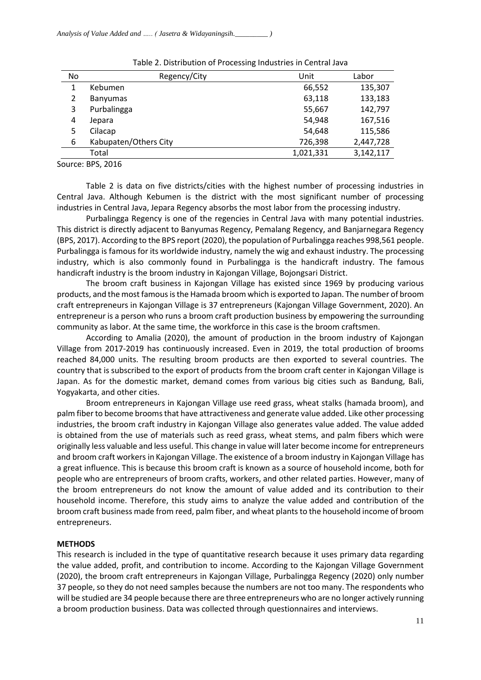| No. | Regency/City          | Unit      |           |
|-----|-----------------------|-----------|-----------|
| 1   | Kebumen               | 66,552    | 135,307   |
| 2   | <b>Banyumas</b>       | 63,118    | 133,183   |
| 3   | Purbalingga           | 55,667    | 142,797   |
| 4   | Jepara                | 54,948    | 167,516   |
| 5   | Cilacap               | 54,648    | 115,586   |
| 6   | Kabupaten/Others City | 726,398   | 2,447,728 |
|     | Total                 | 1,021,331 | 3,142,117 |

Table 2. Distribution of Processing Industries in Central Java

Source: BPS, 2016

Table 2 is data on five districts/cities with the highest number of processing industries in Central Java. Although Kebumen is the district with the most significant number of processing industries in Central Java, Jepara Regency absorbs the most labor from the processing industry.

Purbalingga Regency is one of the regencies in Central Java with many potential industries. This district is directly adjacent to Banyumas Regency, Pemalang Regency, and Banjarnegara Regency (BPS, 2017). According to the BPS report (2020), the population of Purbalingga reaches 998,561 people. Purbalingga is famous for its worldwide industry, namely the wig and exhaust industry. The processing industry, which is also commonly found in Purbalingga is the handicraft industry. The famous handicraft industry is the broom industry in Kajongan Village, Bojongsari District.

The broom craft business in Kajongan Village has existed since 1969 by producing various products, and the most famous is the Hamada broom which is exported to Japan. The number of broom craft entrepreneurs in Kajongan Village is 37 entrepreneurs (Kajongan Village Government, 2020). An entrepreneur is a person who runs a broom craft production business by empowering the surrounding community as labor. At the same time, the workforce in this case is the broom craftsmen.

According to Amalia (2020), the amount of production in the broom industry of Kajongan Village from 2017-2019 has continuously increased. Even in 2019, the total production of brooms reached 84,000 units. The resulting broom products are then exported to several countries. The country that is subscribed to the export of products from the broom craft center in Kajongan Village is Japan. As for the domestic market, demand comes from various big cities such as Bandung, Bali, Yogyakarta, and other cities.

Broom entrepreneurs in Kajongan Village use reed grass, wheat stalks (hamada broom), and palm fiber to become brooms that have attractiveness and generate value added. Like other processing industries, the broom craft industry in Kajongan Village also generates value added. The value added is obtained from the use of materials such as reed grass, wheat stems, and palm fibers which were originally less valuable and less useful. This change in value will later become income for entrepreneurs and broom craft workers in Kajongan Village. The existence of a broom industry in Kajongan Village has a great influence. This is because this broom craft is known as a source of household income, both for people who are entrepreneurs of broom crafts, workers, and other related parties. However, many of the broom entrepreneurs do not know the amount of value added and its contribution to their household income. Therefore, this study aims to analyze the value added and contribution of the broom craft business made from reed, palm fiber, and wheat plants to the household income of broom entrepreneurs.

# **METHODS**

This research is included in the type of quantitative research because it uses primary data regarding the value added, profit, and contribution to income. According to the Kajongan Village Government (2020), the broom craft entrepreneurs in Kajongan Village, Purbalingga Regency (2020) only number 37 people, so they do not need samples because the numbers are not too many. The respondents who will be studied are 34 people because there are three entrepreneurs who are no longer actively running a broom production business. Data was collected through questionnaires and interviews.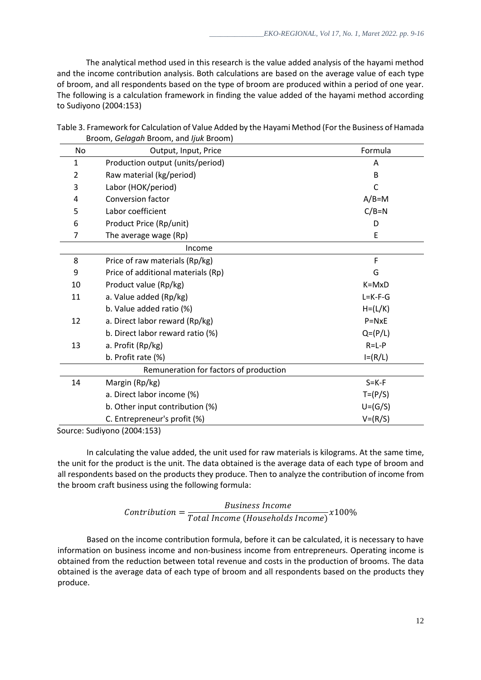The analytical method used in this research is the value added analysis of the hayami method and the income contribution analysis. Both calculations are based on the average value of each type of broom, and all respondents based on the type of broom are produced within a period of one year. The following is a calculation framework in finding the value added of the hayami method according to Sudiyono (2004:153)

| Table 3. Framework for Calculation of Value Added by the Hayami Method (For the Business of Hamada |  |
|----------------------------------------------------------------------------------------------------|--|
| Broom, Gelagah Broom, and ljuk Broom)                                                              |  |

| No.          | Output, Input, Price                   | Formula          |  |  |  |
|--------------|----------------------------------------|------------------|--|--|--|
| $\mathbf{1}$ | Production output (units/period)       | A                |  |  |  |
| 2            | Raw material (kg/period)               | B                |  |  |  |
| 3            | Labor (HOK/period)                     | C                |  |  |  |
| 4            | <b>Conversion factor</b>               | $A/B=M$          |  |  |  |
| 5            | Labor coefficient<br>$C/B=N$           |                  |  |  |  |
| 6            | Product Price (Rp/unit)                | D                |  |  |  |
| 7            | The average wage (Rp)<br>E             |                  |  |  |  |
|              | Income                                 |                  |  |  |  |
| 8            | Price of raw materials (Rp/kg)         | F                |  |  |  |
| 9            | Price of additional materials (Rp)     | G                |  |  |  |
| 10           | Product value (Rp/kg)                  | $K = M \times D$ |  |  |  |
| 11           | a. Value added (Rp/kg)                 | $L = K - F - G$  |  |  |  |
|              | b. Value added ratio (%)               | $H = (L/K)$      |  |  |  |
| 12           | a. Direct labor reward (Rp/kg)         | $P = N \times E$ |  |  |  |
|              | b. Direct labor reward ratio (%)       | $Q=(P/L)$        |  |  |  |
| 13           | a. Profit (Rp/kg)                      | $R = L - P$      |  |  |  |
|              | b. Profit rate (%)                     | $I=(R/L)$        |  |  |  |
|              | Remuneration for factors of production |                  |  |  |  |
| 14           | Margin (Rp/kg)                         | $S = K - F$      |  |  |  |
|              | a. Direct labor income (%)             | $T = (P/S)$      |  |  |  |
|              | b. Other input contribution (%)        | $U=(G/S)$        |  |  |  |
|              | C. Entrepreneur's profit (%)           | $V = (R/S)$      |  |  |  |

Source: Sudiyono (2004:153)

In calculating the value added, the unit used for raw materials is kilograms. At the same time, the unit for the product is the unit. The data obtained is the average data of each type of broom and all respondents based on the products they produce. Then to analyze the contribution of income from the broom craft business using the following formula:

#### $\mathcal{L}$  ontribution  $=$ **Business Income**  $\overline{T}$ otal Income (Households Income) x $100\%$

Based on the income contribution formula, before it can be calculated, it is necessary to have information on business income and non-business income from entrepreneurs. Operating income is obtained from the reduction between total revenue and costs in the production of brooms. The data obtained is the average data of each type of broom and all respondents based on the products they produce.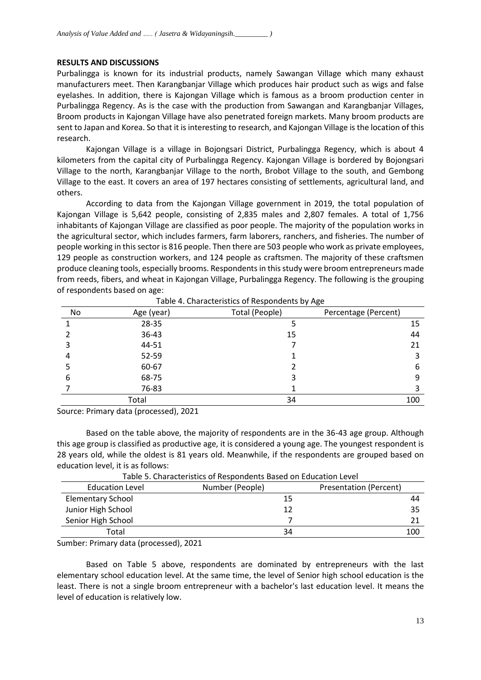# **RESULTS AND DISCUSSIONS**

Purbalingga is known for its industrial products, namely Sawangan Village which many exhaust manufacturers meet. Then Karangbanjar Village which produces hair product such as wigs and false eyelashes. In addition, there is Kajongan Village which is famous as a broom production center in Purbalingga Regency. As is the case with the production from Sawangan and Karangbanjar Villages, Broom products in Kajongan Village have also penetrated foreign markets. Many broom products are sent to Japan and Korea. So that it is interesting to research, and Kajongan Village is the location of this research.

Kajongan Village is a village in Bojongsari District, Purbalingga Regency, which is about 4 kilometers from the capital city of Purbalingga Regency. Kajongan Village is bordered by Bojongsari Village to the north, Karangbanjar Village to the north, Brobot Village to the south, and Gembong Village to the east. It covers an area of 197 hectares consisting of settlements, agricultural land, and others.

According to data from the Kajongan Village government in 2019, the total population of Kajongan Village is 5,642 people, consisting of 2,835 males and 2,807 females. A total of 1,756 inhabitants of Kajongan Village are classified as poor people. The majority of the population works in the agricultural sector, which includes farmers, farm laborers, ranchers, and fisheries. The number of people working in this sector is 816 people. Then there are 503 people who work as private employees, 129 people as construction workers, and 124 people as craftsmen. The majority of these craftsmen produce cleaning tools, especially brooms. Respondents in this study were broom entrepreneurs made from reeds, fibers, and wheat in Kajongan Village, Purbalingga Regency. The following is the grouping of respondents based on age:

| No<br>Age (year) |       | Total (People) | - 7 - 9 -<br>Percentage (Percent) |
|------------------|-------|----------------|-----------------------------------|
|                  | 28-35 |                | 15                                |
|                  | 36-43 | 15             | 44                                |
|                  | 44-51 |                | 21                                |
|                  | 52-59 |                |                                   |
|                  | 60-67 |                | 6                                 |
| 6                | 68-75 |                | 9                                 |
|                  | 76-83 |                |                                   |
| Total            |       | 34             | 100                               |

Table 4. Characteristics of Respondents by Age

Source: Primary data (processed), 2021

Based on the table above, the majority of respondents are in the 36-43 age group. Although this age group is classified as productive age, it is considered a young age. The youngest respondent is 28 years old, while the oldest is 81 years old. Meanwhile, if the respondents are grouped based on education level, it is as follows:

| <b>Education Level</b>   | Number (People) | Presentation (Percent) |  |  |
|--------------------------|-----------------|------------------------|--|--|
| <b>Elementary School</b> | 15              | 44                     |  |  |
| Junior High School       |                 | 35                     |  |  |
| Senior High School       |                 |                        |  |  |
| Total                    | 34              | 100                    |  |  |

Table 5. Characteristics of Respondents Based on Education Level

Sumber: Primary data (processed), 2021

Based on Table 5 above, respondents are dominated by entrepreneurs with the last elementary school education level. At the same time, the level of Senior high school education is the least. There is not a single broom entrepreneur with a bachelor's last education level. It means the level of education is relatively low.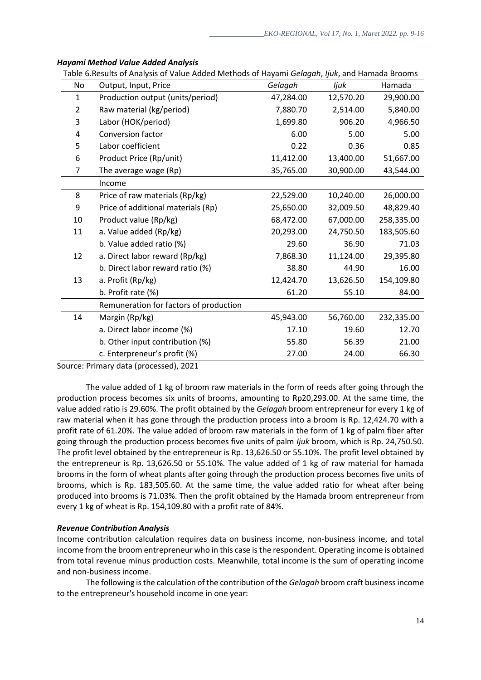| No           | Output, Input, Price                   | Gelagah   | ljuk      | Hamada     |
|--------------|----------------------------------------|-----------|-----------|------------|
| $\mathbf{1}$ | Production output (units/period)       | 47,284.00 | 12,570.20 | 29,900.00  |
| 2            | Raw material (kg/period)               | 7,880.70  | 2,514.00  | 5,840.00   |
| 3            | Labor (HOK/period)                     | 1,699.80  | 906.20    | 4,966.50   |
| 4            | <b>Conversion factor</b>               | 6.00      | 5.00      | 5.00       |
| 5            | Labor coefficient                      | 0.22      | 0.36      | 0.85       |
| 6            | Product Price (Rp/unit)                | 11,412.00 | 13,400.00 | 51,667.00  |
| 7            | The average wage (Rp)                  | 35,765.00 | 30,900.00 | 43,544.00  |
|              | Income                                 |           |           |            |
| 8            | Price of raw materials (Rp/kg)         | 22,529.00 | 10,240.00 | 26,000.00  |
| 9            | Price of additional materials (Rp)     | 25,650.00 | 32,009.50 | 48,829.40  |
| 10           | Product value (Rp/kg)                  | 68,472.00 | 67,000.00 | 258,335.00 |
| 11           | a. Value added (Rp/kg)                 | 20,293.00 | 24,750.50 | 183,505.60 |
|              | b. Value added ratio (%)               | 29.60     | 36.90     | 71.03      |
| 12           | a. Direct labor reward (Rp/kg)         | 7,868.30  | 11,124.00 | 29,395.80  |
|              | b. Direct labor reward ratio (%)       | 38.80     | 44.90     | 16.00      |
| 13           | a. Profit (Rp/kg)                      | 12,424.70 | 13,626.50 | 154,109.80 |
|              | b. Profit rate (%)                     | 61.20     | 55.10     | 84.00      |
|              | Remuneration for factors of production |           |           |            |
| 14           | Margin (Rp/kg)                         | 45,943.00 | 56,760.00 | 232,335.00 |
|              | a. Direct labor income (%)             | 17.10     | 19.60     | 12.70      |
|              | b. Other input contribution (%)        | 55.80     | 56.39     | 21.00      |
|              | c. Enterpreneur's profit (%)           | 27.00     | 24.00     | 66.30      |

# *Hayami Method Value Added Analysis*

Table 6.Results of Analysis of Value Added Methods of Hayami *Gelagah*, *Ijuk*, and Hamada Brooms

Source: Primary data (processed), 2021

The value added of 1 kg of broom raw materials in the form of reeds after going through the production process becomes six units of brooms, amounting to Rp20,293.00. At the same time, the value added ratio is 29.60%. The profit obtained by the *Gelagah* broom entrepreneur for every 1 kg of raw material when it has gone through the production process into a broom is Rp. 12,424.70 with a profit rate of 61.20%. The value added of broom raw materials in the form of 1 kg of palm fiber after going through the production process becomes five units of palm *Ijuk* broom, which is Rp. 24,750.50. The profit level obtained by the entrepreneur is Rp. 13,626.50 or 55.10%. The profit level obtained by the entrepreneur is Rp. 13,626.50 or 55.10%. The value added of 1 kg of raw material for hamada brooms in the form of wheat plants after going through the production process becomes five units of brooms, which is Rp. 183,505.60. At the same time, the value added ratio for wheat after being produced into brooms is 71.03%. Then the profit obtained by the Hamada broom entrepreneur from every 1 kg of wheat is Rp. 154,109.80 with a profit rate of 84%.

# *Revenue Contribution Analysis*

Income contribution calculation requires data on business income, non-business income, and total income from the broom entrepreneur who in this case isthe respondent. Operating income is obtained from total revenue minus production costs. Meanwhile, total income is the sum of operating income and non-business income.

The following is the calculation of the contribution of the *Gelagah* broom craft business income to the entrepreneur's household income in one year: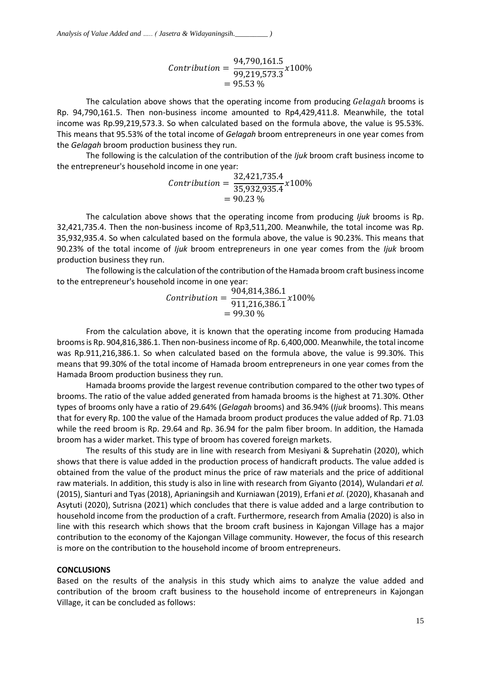$$
Contribution = \frac{94,790,161.5}{99,219,573.3} \times 100\%
$$
  
= 95.53 %

The calculation above shows that the operating income from producing Gelagah brooms is Rp. 94,790,161.5. Then non-business income amounted to Rp4,429,411.8. Meanwhile, the total income was Rp.99,219,573.3. So when calculated based on the formula above, the value is 95.53%. This means that 95.53% of the total income of *Gelagah* broom entrepreneurs in one year comes from the *Gelagah* broom production business they run.

The following is the calculation of the contribution of the *Ijuk* broom craft business income to the entrepreneur's household income in one year:

$$
Contribution = \frac{32,421,735.4}{35,932,935.4} \times 100\%
$$
  
= 90.23 %

The calculation above shows that the operating income from producing *Ijuk* brooms is Rp. 32,421,735.4. Then the non-business income of Rp3,511,200. Meanwhile, the total income was Rp. 35,932,935.4. So when calculated based on the formula above, the value is 90.23%. This means that 90.23% of the total income of *Ijuk* broom entrepreneurs in one year comes from the *Ijuk* broom production business they run.

The following is the calculation of the contribution of the Hamada broom craft business income to the entrepreneur's household income in one year:

$$
Contribution = \frac{904,814,386.1}{911,216,386.1} \times 100\%
$$
  
= 99.30 %

From the calculation above, it is known that the operating income from producing Hamada brooms is Rp. 904,816,386.1. Then non-business income of Rp. 6,400,000. Meanwhile, the total income was Rp.911,216,386.1. So when calculated based on the formula above, the value is 99.30%. This means that 99.30% of the total income of Hamada broom entrepreneurs in one year comes from the Hamada Broom production business they run.

Hamada brooms provide the largest revenue contribution compared to the other two types of brooms. The ratio of the value added generated from hamada brooms is the highest at 71.30%. Other types of brooms only have a ratio of 29.64% (*Gelagah* brooms) and 36.94% (*Ijuk* brooms). This means that for every Rp. 100 the value of the Hamada broom product produces the value added of Rp. 71.03 while the reed broom is Rp. 29.64 and Rp. 36.94 for the palm fiber broom. In addition, the Hamada broom has a wider market. This type of broom has covered foreign markets.

The results of this study are in line with research from Mesiyani & Suprehatin (2020), which shows that there is value added in the production process of handicraft products. The value added is obtained from the value of the product minus the price of raw materials and the price of additional raw materials. In addition, this study is also in line with research from Giyanto (2014), Wulandari *et al.* (2015), Sianturi and Tyas (2018), Aprianingsih and Kurniawan (2019), Erfani *et al.* (2020), Khasanah and Asytuti (2020), Sutrisna (2021) which concludes that there is value added and a large contribution to household income from the production of a craft. Furthermore, research from Amalia (2020) is also in line with this research which shows that the broom craft business in Kajongan Village has a major contribution to the economy of the Kajongan Village community. However, the focus of this research is more on the contribution to the household income of broom entrepreneurs.

# **CONCLUSIONS**

Based on the results of the analysis in this study which aims to analyze the value added and contribution of the broom craft business to the household income of entrepreneurs in Kajongan Village, it can be concluded as follows: